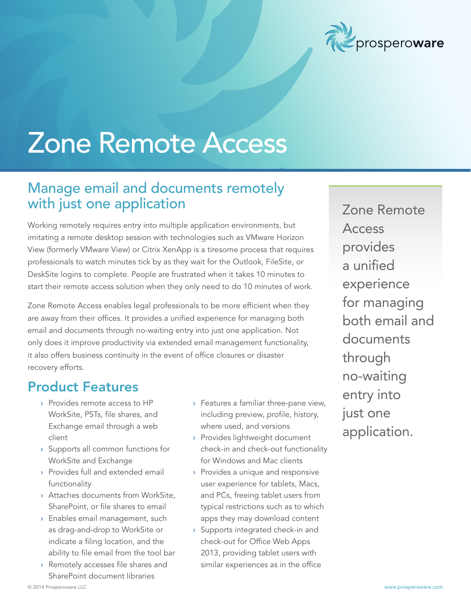

# Zone Remote Access

### Manage email and documents remotely with just one application

Working remotely requires entry into multiple application environments, but imitating a remote desktop session with technologies such as VMware Horizon View (formerly VMware View) or Citrix XenApp is a tiresome process that requires professionals to watch minutes tick by as they wait for the Outlook, FileSite, or DeskSite logins to complete. People are frustrated when it takes 10 minutes to start their remote access solution when they only need to do 10 minutes of work.

Zone Remote Access enables legal professionals to be more efficient when they are away from their offices. It provides a unified experience for managing both email and documents through no-waiting entry into just one application. Not only does it improve productivity via extended email management functionality, it also offers business continuity in the event of office closures or disaster recovery efforts.

#### Product Features

- › Provides remote access to HP WorkSite, PSTs, file shares, and Exchange email through a web client
- › Supports all common functions for WorkSite and Exchange
- › Provides full and extended email functionality
- › Attaches documents from WorkSite, SharePoint, or file shares to email
- › Enables email management, such as drag-and-drop to WorkSite or indicate a filing location, and the ability to file email from the tool bar
- › Remotely accesses file shares and SharePoint document libraries
- › Features a familiar three-pane view, including preview, profile, history, where used, and versions
- › Provides lightweight document check-in and check-out functionality for Windows and Mac clients
- › Provides a unique and responsive user experience for tablets, Macs, and PCs, freeing tablet users from typical restrictions such as to which apps they may download content
- › Supports integrated check-in and check-out for Office Web Apps 2013, providing tablet users with similar experiences as in the office

Zone Remote Access provides a unified experience for managing both email and documents through no-waiting entry into just one application.